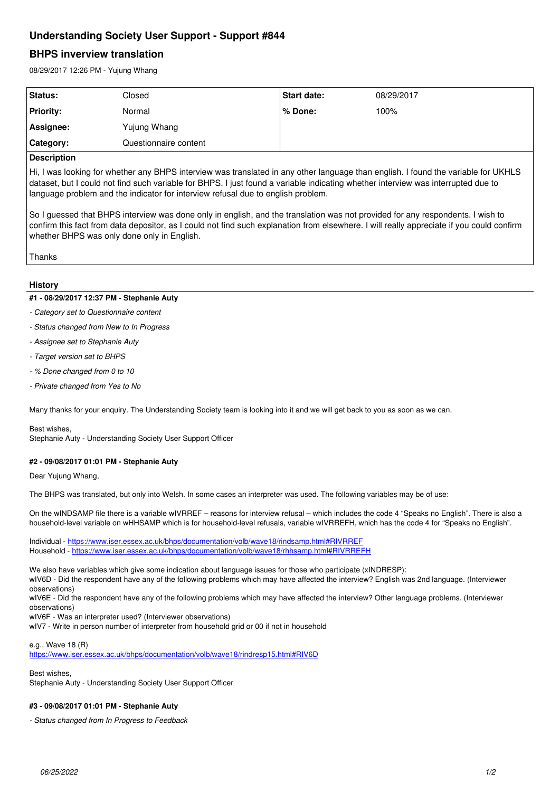# **Understanding Society User Support - Support #844**

# **BHPS inverview translation**

08/29/2017 12:26 PM - Yujung Whang

| Status:            | Closed                | <b>Start date:</b> | 08/29/2017 |  |
|--------------------|-----------------------|--------------------|------------|--|
| <b>Priority:</b>   | Normal                | % Done:            | 100%       |  |
| Assignee:          | Yujung Whang          |                    |            |  |
| Category:          | Questionnaire content |                    |            |  |
| <b>Description</b> |                       |                    |            |  |

#### **Description**

Hi, I was looking for whether any BHPS interview was translated in any other language than english. I found the variable for UKHLS dataset, but I could not find such variable for BHPS. I just found a variable indicating whether interview was interrupted due to language problem and the indicator for interview refusal due to english problem.

So I guessed that BHPS interview was done only in english, and the translation was not provided for any respondents. I wish to confirm this fact from data depositor, as I could not find such explanation from elsewhere. I will really appreciate if you could confirm whether BHPS was only done only in English.

Thanks

#### **History**

#### **#1 - 08/29/2017 12:37 PM - Stephanie Auty**

- *Category set to Questionnaire content*
- *Status changed from New to In Progress*
- *Assignee set to Stephanie Auty*
- *Target version set to BHPS*
- *% Done changed from 0 to 10*
- *Private changed from Yes to No*

Many thanks for your enquiry. The Understanding Society team is looking into it and we will get back to you as soon as we can.

Best wishes,

Stephanie Auty - Understanding Society User Support Officer

## **#2 - 09/08/2017 01:01 PM - Stephanie Auty**

Dear Yujung Whang,

The BHPS was translated, but only into Welsh. In some cases an interpreter was used. The following variables may be of use:

On the wINDSAMP file there is a variable wIVRREF – reasons for interview refusal – which includes the code 4 "Speaks no English". There is also a household-level variable on wHHSAMP which is for household-level refusals, variable wIVRREFH, which has the code 4 for "Speaks no English".

Individual -<https://www.iser.essex.ac.uk/bhps/documentation/volb/wave18/rindsamp.html#RIVRREF> Household - <https://www.iser.essex.ac.uk/bhps/documentation/volb/wave18/rhhsamp.html#RIVRREFH>

We also have variables which give some indication about language issues for those who participate (xINDRESP):

wIV6D - Did the respondent have any of the following problems which may have affected the interview? English was 2nd language. (Interviewer observations)

wIV6E - Did the respondent have any of the following problems which may have affected the interview? Other language problems. (Interviewer observations)

wIV6F - Was an interpreter used? (Interviewer observations)

wIV7 - Write in person number of interpreter from household grid or 00 if not in household

e.g., Wave 18 (R)

<https://www.iser.essex.ac.uk/bhps/documentation/volb/wave18/rindresp15.html#RIV6D>

Best wishes,

Stephanie Auty - Understanding Society User Support Officer

### **#3 - 09/08/2017 01:01 PM - Stephanie Auty**

*- Status changed from In Progress to Feedback*